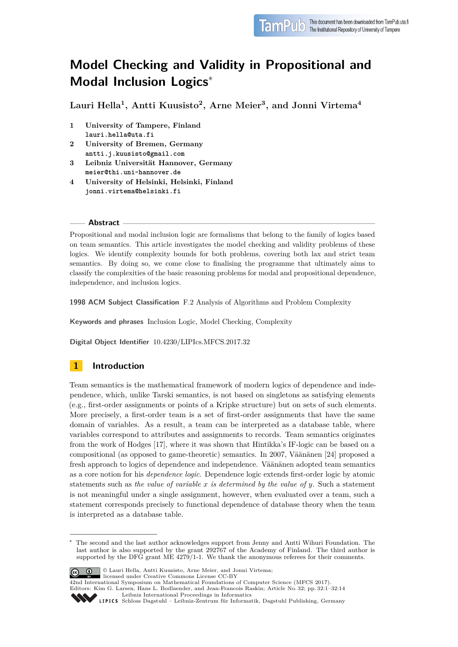

# **Model Checking and Validity in Propositional and Modal Inclusion Logics**<sup>∗</sup>

**Lauri Hella<sup>1</sup> , Antti Kuusisto<sup>2</sup> , Arne Meier<sup>3</sup> , and Jonni Virtema<sup>4</sup>**

- **1 University of Tampere, Finland lauri.hella@uta.fi**
- **2 University of Bremen, Germany antti.j.kuusisto@gmail.com**
- **3 Leibniz Universität Hannover, Germany meier@thi.uni-hannover.de**
- **4 University of Helsinki, Helsinki, Finland jonni.virtema@helsinki.fi**

## **Abstract**

Propositional and modal inclusion logic are formalisms that belong to the family of logics based on team semantics. This article investigates the model checking and validity problems of these logics. We identify complexity bounds for both problems, covering both lax and strict team semantics. By doing so, we come close to finalising the programme that ultimately aims to classify the complexities of the basic reasoning problems for modal and propositional dependence, independence, and inclusion logics.

**1998 ACM Subject Classification** F.2 Analysis of Algorithms and Problem Complexity

**Keywords and phrases** Inclusion Logic, Model Checking, Complexity

**Digital Object Identifier** [10.4230/LIPIcs.MFCS.2017.32](http://dx.doi.org/10.4230/LIPIcs.MFCS.2017.32)

## **1 Introduction**

Team semantics is the mathematical framework of modern logics of dependence and independence, which, unlike Tarski semantics, is not based on singletons as satisfying elements (e.g., first-order assignments or points of a Kripke structure) but on sets of such elements. More precisely, a first-order team is a set of first-order assignments that have the same domain of variables. As a result, a team can be interpreted as a database table, where variables correspond to attributes and assignments to records. Team semantics originates from the work of Hodges [\[17\]](#page-13-0), where it was shown that Hintikka's IF-logic can be based on a compositional (as opposed to game-theoretic) semantics. In 2007, Väänänen [\[24\]](#page-13-1) proposed a fresh approach to logics of dependence and independence. Väänänen adopted team semantics as a core notion for his *dependence logic*. Dependence logic extends first-order logic by atomic statements such as *the value of variable x is determined by the value of y*. Such a statement is not meaningful under a single assignment, however, when evaluated over a team, such a statement corresponds precisely to functional dependence of database theory when the team is interpreted as a database table.

The second and the last author acknowledges support from Jenny and Antti Wihuri Foundation. The last author is also supported by the grant 292767 of the Academy of Finland. The third author is supported by the DFG grant ME 4279/1-1. We thank the anonymous referees for their comments.



© Lauri Hella, Antti Kuusisto, Arne Meier, and Jonni Virtema; licensed under Creative Commons License CC-BY

42nd International Symposium on Mathematical Foundations of Computer Science (MFCS 2017). Editors: Kim G. Larsen, Hans L. Bodlaender, and Jean-Francois Raskin; Article No. 32; pp. 32:1–32[:14](#page-13-2) [Leibniz International Proceedings in Informatics](http://www.dagstuhl.de/lipics/)

Leibniz international Floretungs in miorimetrix<br>
LIPICS [Schloss Dagstuhl – Leibniz-Zentrum für Informatik, Dagstuhl Publishing, Germany](http://www.dagstuhl.de)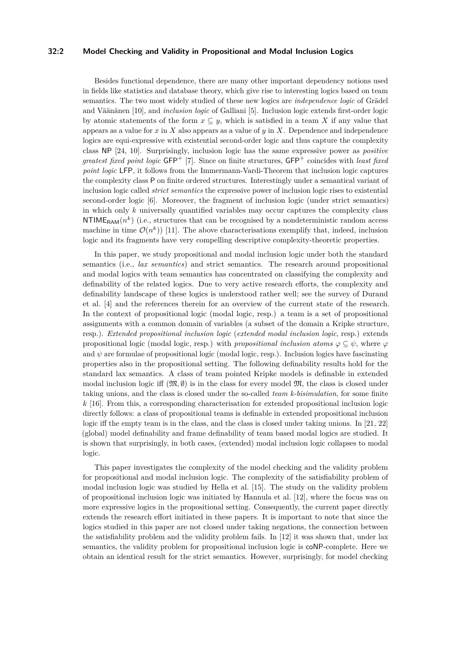## **32:2 Model Checking and Validity in Propositional and Modal Inclusion Logics**

Besides functional dependence, there are many other important dependency notions used in fields like statistics and database theory, which give rise to interesting logics based on team semantics. The two most widely studied of these new logics are *independence logic* of Grädel and Väänänen [\[10\]](#page-12-0), and *inclusion logic* of Galliani [\[5\]](#page-12-1). Inclusion logic extends first-order logic by atomic statements of the form  $x \subseteq y$ , which is satisfied in a team X if any value that appears as a value for *x* in *X* also appears as a value of *y* in *X*. Dependence and independence logics are equi-expressive with existential second-order logic and thus capture the complexity class NP [\[24,](#page-13-1) [10\]](#page-12-0). Surprisingly, inclusion logic has the same expressive power as *positive greatest fixed point logic* GFP<sup>+</sup> [\[7\]](#page-12-2). Since on finite structures, GFP<sup>+</sup> coincides with *least fixed point logic* LFP, it follows from the Immermann-Vardi-Theorem that inclusion logic captures the complexity class P on finite ordered structures. Interestingly under a semantical variant of inclusion logic called *strict semantics* the expressive power of inclusion logic rises to existential second-order logic [\[6\]](#page-12-3). Moreover, the fragment of inclusion logic (under strict semantics) in which only *k* universally quantified variables may occur captures the complexity class  $\text{NTIME}_{\text{RAM}}(n^k)$  (i.e., structures that can be recognised by a nondeterministic random access machine in time  $\mathcal{O}(n^k)$  [\[11\]](#page-12-4). The above characterisations exemplify that, indeed, inclusion logic and its fragments have very compelling descriptive complexity-theoretic properties.

In this paper, we study propositional and modal inclusion logic under both the standard semantics (i.e., *lax semantics*) and strict semantics. The research around propositional and modal logics with team semantics has concentrated on classifying the complexity and definability of the related logics. Due to very active research efforts, the complexity and definability landscape of these logics is understood rather well; see the survey of Durand et al. [\[4\]](#page-12-5) and the references therein for an overview of the current state of the research. In the context of propositional logic (modal logic, resp.) a team is a set of propositional assignments with a common domain of variables (a subset of the domain a Kripke structure, resp.). *Extended propositional inclusion logic* (*extended modal inclusion logic*, resp.) extends propositional logic (modal logic, resp.) with *propositional inclusion atoms*  $\varphi \subseteq \psi$ , where  $\varphi$ and  $\psi$  are formulae of propositional logic (modal logic, resp.). Inclusion logics have fascinating properties also in the propositional setting. The following definability results hold for the standard lax semantics. A class of team pointed Kripke models is definable in extended modal inclusion logic iff  $(\mathfrak{M}, \emptyset)$  is in the class for every model  $\mathfrak{M}$ , the class is closed under taking unions, and the class is closed under the so-called *team k-bisimulation*, for some finite *k* [\[16\]](#page-13-3). From this, a corresponding characterisation for extended propositional inclusion logic directly follows: a class of propositional teams is definable in extended propositional inclusion logic iff the empty team is in the class, and the class is closed under taking unions. In [\[21,](#page-13-4) [22\]](#page-13-5) (global) model definability and frame definability of team based modal logics are studied. It is shown that surprisingly, in both cases, (extended) modal inclusion logic collapses to modal logic.

This paper investigates the complexity of the model checking and the validity problem for propositional and modal inclusion logic. The complexity of the satisfiability problem of modal inclusion logic was studied by Hella et al. [\[15\]](#page-13-6). The study on the validity problem of propositional inclusion logic was initiated by Hannula et al. [\[12\]](#page-12-6), where the focus was on more expressive logics in the propositional setting. Consequently, the current paper directly extends the research effort initiated in these papers. It is important to note that since the logics studied in this paper are not closed under taking negations, the connection between the satisfiability problem and the validity problem fails. In [\[12\]](#page-12-6) it was shown that, under lax semantics, the validity problem for propositional inclusion logic is coNP-complete. Here we obtain an identical result for the strict semantics. However, surprisingly, for model checking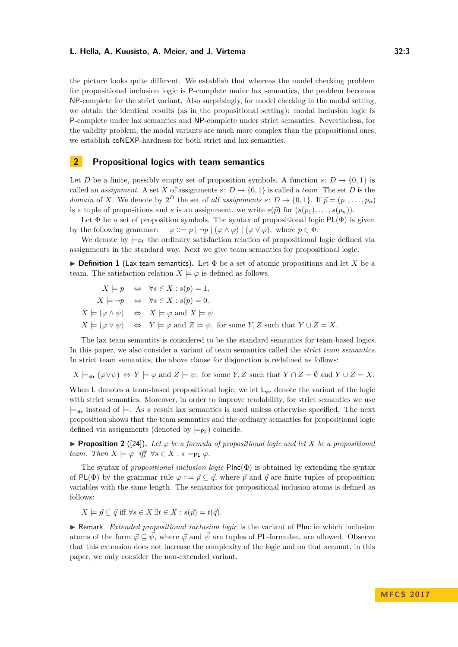the picture looks quite different. We establish that whereas the model checking problem for propositional inclusion logic is P-complete under lax semantics, the problem becomes NP-complete for the strict variant. Also surprisingly, for model checking in the modal setting, we obtain the identical results (as in the propositional setting): modal inclusion logic is P-complete under lax semantics and NP-complete under strict semantics. Nevertheless, for the validity problem, the modal variants are much more complex than the propositional ones; we establish coNEXP-hardness for both strict and lax semantics.

## **2 Propositional logics with team semantics**

Let *D* be a finite, possibly empty set of proposition symbols. A function  $s: D \to \{0, 1\}$  is called an *assignment*. A set *X* of assignments  $s: D \to \{0, 1\}$  is called a *team*. The set *D* is the *domain* of *X*. We denote by  $2^D$  the set of *all assignments*  $s: D \to \{0,1\}$ . If  $\vec{p} = (p_1, \ldots, p_n)$ is a tuple of propositions and *s* is an assignment, we write  $s(\vec{p})$  for  $(s(p_1), \ldots, s(p_n))$ .

Let  $\Phi$  be a set of proposition symbols. The syntax of propositional logic PL( $\Phi$ ) is given by the following grammar:  $\varphi ::= p | \neg p | (\varphi \land \varphi) | (\varphi \lor \varphi)$ , where  $p \in \Phi$ .

We denote by  $\models_{\text{Pl}}$  the ordinary satisfaction relation of propositional logic defined via assignments in the standard way. Next we give team semantics for propositional logic.

**Definition 1** (Lax team semantics). Let  $\Phi$  be a set of atomic propositions and let X be a team. The satisfaction relation  $X \models \varphi$  is defined as follows.

$$
X \models p \Leftrightarrow \forall s \in X : s(p) = 1,
$$
  
\n
$$
X \models \neg p \Leftrightarrow \forall s \in X : s(p) = 0.
$$
  
\n
$$
X \models (\varphi \land \psi) \Leftrightarrow X \models \varphi \text{ and } X \models \psi.
$$
  
\n
$$
X \models (\varphi \lor \psi) \Leftrightarrow Y \models \varphi \text{ and } Z \models \psi, \text{ for some } Y, Z \text{ such that } Y \cup Z = X.
$$

The lax team semantics is considered to be the standard semantics for team-based logics. In this paper, we also consider a variant of team semantics called the *strict team semantics*. In strict team semantics, the above clause for disjunction is redefined as follows:

 $X \models_{str} (\varphi \lor \psi) \Leftrightarrow Y \models \varphi \text{ and } Z \models \psi$ , for some *Y, Z* such that  $Y \cap Z = \emptyset$  and  $Y \cup Z = X$ .

When L denotes a team-based propositional logic, we let  $L<sub>str</sub>$  denote the variant of the logic with strict semantics. Moreover, in order to improve readability, for strict semantics we use  $\models$ <sub>str</sub> instead of  $\models$ . As a result lax semantics is used unless otherwise specified. The next proposition shows that the team semantics and the ordinary semantics for propositional logic defined via assignments (denoted by  $\models_{\mathsf{PL}}$ ) coincide.

**Proposition 2** ([\[24\]](#page-13-1)). Let  $\varphi$  be a formula of propositional logic and let X be a propositional *team.* Then  $X \models \varphi$  *iff*  $\forall s \in X : s \models_{\text{PI}} \varphi$ .

The syntax of *propositional inclusion logic* PInc(Φ) is obtained by extending the syntax of PL( $\Phi$ ) by the grammar rule  $\varphi ::= \vec{p} \subseteq \vec{q}$ , where  $\vec{p}$  and  $\vec{q}$  are finite tuples of proposition variables with the same length. The semantics for propositional inclusion atoms is defined as follows:

$$
X \models \vec{p} \subseteq \vec{q} \text{ iff } \forall s \in X \exists t \in X : s(\vec{p}) = t(\vec{q}).
$$

**In Remark.** *Extended propositional inclusion logic* is the variant of PInc in which inclusion atoms of the form  $\vec{\varphi} \subseteq \vec{\psi}$ , where  $\vec{\varphi}$  and  $\vec{\psi}$  are tuples of PL-formulae, are allowed. Observe that this extension does not increase the complexity of the logic and on that account, in this paper, we only consider the non-extended variant.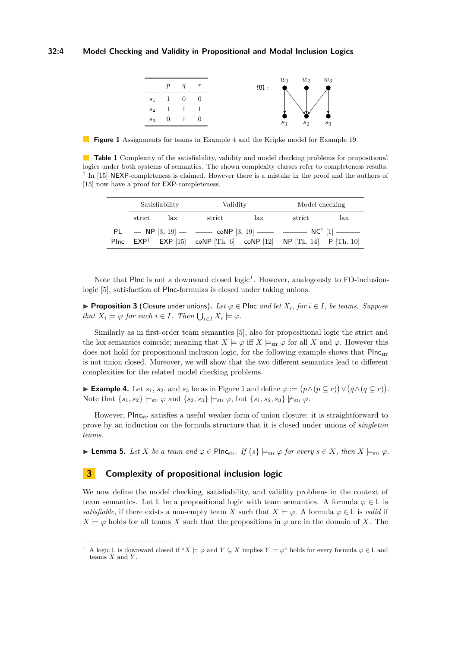<span id="page-3-2"></span>

**Figure 1** Assignments for teams in Example [4](#page-3-0) and the Kripke model for Example [19.](#page-8-0)

<span id="page-3-3"></span>**Table 1** Complexity of the satisfiability, validity and model checking problems for propositional logics under both systems of semantics. The shown complexity classes refer to completeness results. <sup>†</sup> In [\[15\]](#page-13-6) NEXP-completeness is claimed. However there is a mistake in the proof and the authors of [\[15\]](#page-13-6) now have a proof for **EXP**-completeness.

| Satisfiability          |     | Validity                                                                                                                        |     | Model checking          |     |
|-------------------------|-----|---------------------------------------------------------------------------------------------------------------------------------|-----|-------------------------|-----|
| $\operatorname{strict}$ | lax | $\operatorname{strict}$                                                                                                         | lax | $\operatorname{strict}$ | lax |
|                         |     | PL $-$ NP $[3, 19]$ $  \infty$ NP $[3, 19]$ $  \infty$ NC <sup>1</sup> $[1]$ $-$                                                |     |                         |     |
|                         |     | Plnc $\text{EXP}^{\dagger}$ $\text{EXP}$ [15] $\text{coNP}$ [Th. 6] $\text{coNP}$ [12] $\text{NP}$ [Th. 14] $\text{P}$ [Th. 10] |     |                         |     |

Note that Plnc is not a downward closed  $logic<sup>1</sup>$  $logic<sup>1</sup>$  $logic<sup>1</sup>$ . However, analogously to FO-inclusionlogic [\[5\]](#page-12-1), satisfaction of PInc-formulas is closed under taking unions.

**► Proposition 3** (Closure under unions). Let  $\varphi$  ∈ PInc *and let*  $X_i$ *, for*  $i \in I$ *, be teams. Suppose that*  $X_i \models \varphi$  *for each*  $i \in I$ *. Then*  $\bigcup_{i \in I} X_i \models \varphi$ *.* 

Similarly as in first-order team semantics [\[5\]](#page-12-1), also for propositional logic the strict and the lax semantics coincide; meaning that  $X \models \varphi$  iff  $X \models_{str} \varphi$  for all X and  $\varphi$ . However this does not hold for propositional inclusion logic, for the following example shows that PInc<sub>str</sub> is not union closed. Moreover, we will show that the two different semantics lead to different complexities for the related model checking problems.

<span id="page-3-0"></span>► **Example 4.** Let  $s_1$ ,  $s_2$ , and  $s_3$  be as in Figure [1](#page-3-2) and define  $\varphi := (p \wedge (p \subseteq r)) \vee (q \wedge (q \subseteq r))$ . Note that  $\{s_1, s_2\} \models_{str} \varphi$  and  $\{s_2, s_3\} \models_{str} \varphi$ , but  $\{s_1, s_2, s_3\} \not\models_{str} \varphi$ .

However, Plnc<sub>str</sub> satisfies a useful weaker form of union closure: it is straightforward to prove by an induction on the formula structure that it is closed under unions of *singleton teams*.

<span id="page-3-4"></span>**► Lemma 5.** Let *X* be a team and  $\varphi \in \text{Plnc}_{str}$ . If  $\{s\} \models_{str} \varphi$  for every  $s \in X$ , then  $X \models_{str} \varphi$ .

## **3 Complexity of propositional inclusion logic**

We now define the model checking, satisfiability, and validity problems in the context of team semantics. Let L be a propositional logic with team semantics. A formula  $\varphi \in L$  is *satisfiable*, if there exists a non-empty team *X* such that  $X \models \varphi$ . A formula  $\varphi \in L$  is *valid* if  $X \models \varphi$  holds for all teams *X* such that the propositions in  $\varphi$  are in the domain of *X*. The

<span id="page-3-1"></span><sup>&</sup>lt;sup>1</sup> A logic L is downward closed if " $X \models \varphi$  and  $Y \subseteq X$  implies  $Y \models \varphi$ " holds for every formula  $\varphi \in L$  and teams *X* and *Y* .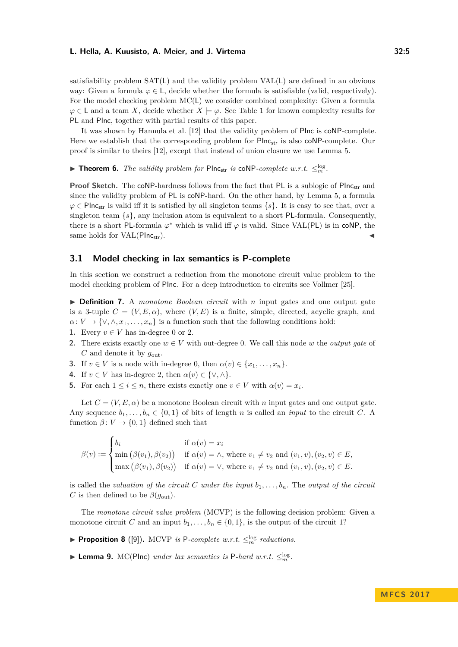satisfiability problem SAT(L) and the validity problem VAL(L) are defined in an obvious way: Given a formula  $\varphi \in L$ , decide whether the formula is satisfiable (valid, respectively). For the model checking problem MC(L) we consider combined complexity: Given a formula  $\varphi \in L$  and a team *X*, decide whether  $X \models \varphi$ . See Table [1](#page-3-3) for known complexity results for PL and PInc, together with partial results of this paper.

It was shown by Hannula et al. [\[12\]](#page-12-6) that the validity problem of PInc is coNP-complete. Here we establish that the corresponding problem for Plnc<sub>str</sub> is also coNP-complete. Our proof is similar to theirs [\[12\]](#page-12-6), except that instead of union closure we use Lemma [5.](#page-3-4)

<span id="page-4-0"></span>▶ **Theorem 6.** *The validity problem for* PInc<sub>str</sub> *is* coNP-complete w.r.t.  $\leq_m^{\log}$ .

Proof Sketch. The coNP-hardness follows from the fact that PL is a sublogic of PInc<sub>str</sub> and since the validity problem of PL is coNP-hard. On the other hand, by Lemma [5,](#page-3-4) a formula  $\varphi \in \text{Plnc}_{str}$  is valid iff it is satisfied by all singleton teams  $\{s\}$ . It is easy to see that, over a singleton team  $\{s\}$ , any inclusion atom is equivalent to a short PL-formula. Consequently, there is a short PL-formula  $\varphi^*$  which is valid iff  $\varphi$  is valid. Since VAL(PL) is in coNP, the same holds for VAL(PIncstr).

## **3.1 Model checking in lax semantics is P-complete**

In this section we construct a reduction from the monotone circuit value problem to the model checking problem of PInc. For a deep introduction to circuits see Vollmer [\[25\]](#page-13-8).

▶ **Definition 7.** A *monotone Boolean circuit* with *n* input gates and one output gate is a 3-tuple  $C = (V, E, \alpha)$ , where  $(V, E)$  is a finite, simple, directed, acyclic graph, and  $\alpha: V \to \{\vee, \wedge, x_1, \ldots, x_n\}$  is a function such that the following conditions hold:

- **1.** Every  $v \in V$  has in-degree 0 or 2.
- **2.** There exists exactly one  $w \in V$  with out-degree 0. We call this node w the *output qate* of  $C$  and denote it by  $q_{\text{out}}$ .
- **3.** If  $v \in V$  is a node with in-degree 0, then  $\alpha(v) \in \{x_1, \ldots, x_n\}$ .
- **4.** If  $v \in V$  has in-degree 2, then  $\alpha(v) \in \{ \vee, \wedge \}$ .
- **5.** For each  $1 \leq i \leq n$ , there exists exactly one  $v \in V$  with  $\alpha(v) = x_i$ .

Let  $C = (V, E, \alpha)$  be a monotone Boolean circuit with *n* input gates and one output gate. Any sequence  $b_1, \ldots, b_n \in \{0, 1\}$  of bits of length *n* is called an *input* to the circuit *C*. A function  $\beta: V \to \{0, 1\}$  defined such that

$$
\beta(v) := \begin{cases} b_i & \text{if } \alpha(v) = x_i \\ \min(\beta(v_1), \beta(v_2)) & \text{if } \alpha(v) = \wedge \text{, where } v_1 \neq v_2 \text{ and } (v_1, v), (v_2, v) \in E, \\ \max(\beta(v_1), \beta(v_2)) & \text{if } \alpha(v) = \vee \text{, where } v_1 \neq v_2 \text{ and } (v_1, v), (v_2, v) \in E. \end{cases}
$$

is called the *valuation of the circuit*  $C$  *under the input*  $b_1, \ldots, b_n$ . The *output of the circuit C* is then defined to be  $\beta(g_{\text{out}})$ .

The *monotone circuit value problem* (MCVP) is the following decision problem: Given a monotone circuit *C* and an input  $b_1, \ldots, b_n \in \{0, 1\}$ , is the output of the circuit 1?

- **Proposition 8** ([\[9\]](#page-12-9)). MCVP *is* P-complete w.r.t.  $\leq_m^{\log}$  reductions.
- <span id="page-4-1"></span>**Example 10.** MC(PInc) *under lax semantics is* P-hard *w.r.t.*  $\leq_m^{\log}$ .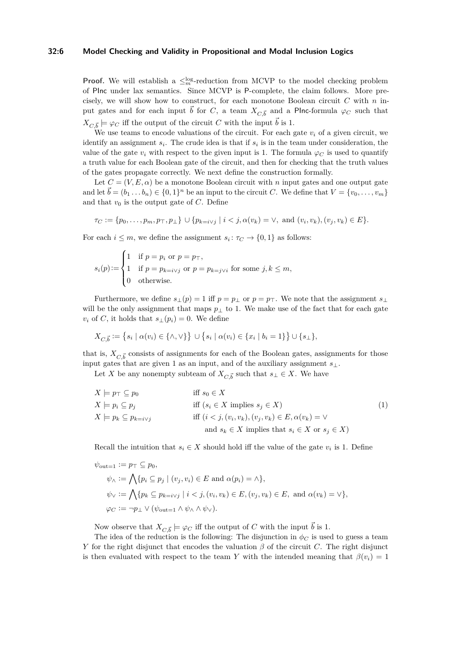## **32:6 Model Checking and Validity in Propositional and Modal Inclusion Logics**

**Proof.** We will establish a  $\leq_m^{\log}$ -reduction from MCVP to the model checking problem of PInc under lax semantics. Since MCVP is P-complete, the claim follows. More precisely, we will show how to construct, for each monotone Boolean circuit *C* with *n* input gates and for each input  $\vec{b}$  for *C*, a team  $X_{C,\vec{b}}$  and a PInc-formula  $\varphi_C$  such that  $X_{C,\vec{b}} \models \varphi_C$  iff the output of the circuit *C* with the input  $\vec{b}$  is 1*.* 

We use teams to encode valuations of the circuit. For each gate  $v_i$  of a given circuit, we identify an assignment  $s_i$ . The crude idea is that if  $s_i$  is in the team under consideration, the value of the gate  $v_i$  with respect to the given input is 1. The formula  $\varphi_C$  is used to quantify a truth value for each Boolean gate of the circuit, and then for checking that the truth values of the gates propagate correctly. We next define the construction formally.

Let  $C = (V, E, \alpha)$  be a monotone Boolean circuit with *n* input gates and one output gate and let  $\vec{b} = (b_1 \ldots b_n) \in \{0,1\}^n$  be an input to the circuit *C*. We define that  $V = \{v_0, \ldots, v_m\}$ and that  $v_0$  is the output gate of  $C$ . Define

$$
\tau_C := \{p_0, \ldots, p_m, p_\top, p_\bot\} \cup \{p_{k=i \vee j} \mid i < j, \alpha(v_k) = \vee, \text{ and } (v_i, v_k), (v_j, v_k) \in E\}.
$$

For each  $i \leq m$ , we define the assignment  $s_i: \tau_C \to \{0,1\}$  as follows:

$$
s_i(p) := \begin{cases} 1 & \text{if } p = p_i \text{ or } p = p_\top, \\ 1 & \text{if } p = p_{k=i \vee j} \text{ or } p = p_{k=j \vee i} \text{ for some } j, k \leq m, \\ 0 & \text{otherwise.} \end{cases}
$$

Furthermore, we define  $s_{\perp}(p) = 1$  iff  $p = p_{\perp}$  or  $p = p_{\perp}$ . We note that the assignment  $s_{\perp}$ will be the only assignment that maps  $p_{\perp}$  to 1. We make use of the fact that for each gate *v*<sub>*i*</sub> of *C*, it holds that  $s_{\perp}(p_i) = 0$ . We define

$$
X_{C,\vec{b}} := \{ s_i \mid \alpha(v_i) \in \{\land,\lor\} \} \cup \{ s_i \mid \alpha(v_i) \in \{ x_i \mid b_i = 1 \} \} \cup \{ s_\bot \},
$$

that is,  $X_{C,\vec{b}}$  consists of assignments for each of the Boolean gates, assignments for those input gates that are given 1 as an input, and of the auxiliary assignment *s*⊥.

Let *X* be any nonempty subteam of  $X_{C,\vec{b}}$  such that  $s_{\perp} \in X$ . We have

<span id="page-5-0"></span>
$$
X \models p_{\top} \subseteq p_{0} \qquad \text{iff } s_{0} \in X
$$
  
\n
$$
X \models p_{i} \subseteq p_{j} \qquad \text{iff } (s_{i} \in X \text{ implies } s_{j} \in X) \qquad (1)
$$
  
\n
$$
X \models p_{k} \subseteq p_{k=i \lor j} \qquad \text{iff } (i < j, (v_{i}, v_{k}), (v_{j}, v_{k}) \in E, \alpha(v_{k}) = \vee \text{ and } s_{k} \in X \text{ implies that } s_{i} \in X \text{ or } s_{j} \in X)
$$

Recall the intuition that  $s_i \in X$  should hold iff the value of the gate  $v_i$  is 1. Define

$$
\psi_{\text{out}=1} := p_{\top} \subseteq p_0,
$$
  
\n
$$
\psi_{\wedge} := \bigwedge \{ p_i \subseteq p_j \mid (v_j, v_i) \in E \text{ and } \alpha(p_i) = \wedge \},
$$
  
\n
$$
\psi_{\vee} := \bigwedge \{ p_k \subseteq p_{k=i \vee j} \mid i < j, (v_i, v_k) \in E, (v_j, v_k) \in E, \text{ and } \alpha(v_k) = \vee \},
$$
  
\n
$$
\varphi_C := \neg p_{\bot} \vee (\psi_{\text{out}=1} \wedge \psi_{\wedge} \wedge \psi_{\vee}).
$$

Now observe that  $X_{C,\vec{b}} \models \varphi_C$  iff the output of *C* with the input  $\vec{b}$  is 1.

The idea of the reduction is the following: The disjunction in  $\phi_C$  is used to guess a team *Y* for the right disjunct that encodes the valuation  $\beta$  of the circuit *C*. The right disjunct is then evaluated with respect to the team *Y* with the intended meaning that  $\beta(v_i) = 1$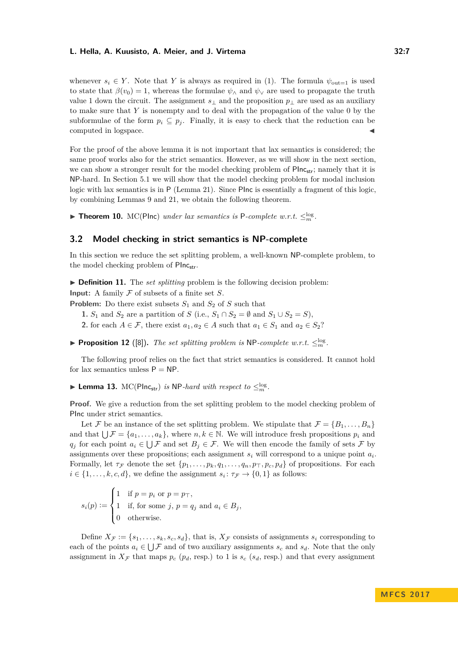whenever  $s_i \in Y$ . Note that *Y* is always as required in [\(1\)](#page-5-0). The formula  $\psi_{\text{out}=1}$  is used to state that  $\beta(v_0) = 1$ , whereas the formulae  $\psi_\wedge$  and  $\psi_\vee$  are used to propagate the truth value 1 down the circuit. The assignment *s*<sup>⊥</sup> and the proposition *p*<sup>⊥</sup> are used as an auxiliary to make sure that *Y* is nonempty and to deal with the propagation of the value 0 by the subformulae of the form  $p_i \subseteq p_j$ . Finally, it is easy to check that the reduction can be computed in logspace.

For the proof of the above lemma it is not important that lax semantics is considered; the same proof works also for the strict semantics. However, as we will show in the next section, we can show a stronger result for the model checking problem of  $\text{Plnc}_{str}$ ; namely that it is NP-hard. In Section [5.1](#page-9-0) we will show that the model checking problem for modal inclusion logic with lax semantics is in P (Lemma [21\)](#page-9-1). Since PInc is essentially a fragment of this logic, by combining Lemmas [9](#page-4-1) and [21,](#page-9-1) we obtain the following theorem.

<span id="page-6-0"></span>▶ **Theorem 10.** MC(Plnc) *under lax semantics is* P-complete w.r.t.  $\leq^{\log}_m$ .

## **3.2 Model checking in strict semantics is NP-complete**

In this section we reduce the set splitting problem, a well-known NP-complete problem, to the model checking problem of PIncstr.

▶ **Definition 11.** The *set splitting* problem is the following decision problem:

**Input:** A family  $\mathcal F$  of subsets of a finite set  $S$ .

**Problem:** Do there exist subsets  $S_1$  and  $S_2$  of  $S$  such that

**1.** *S*<sub>1</sub> and *S*<sub>2</sub> are a partition of *S* (i.e., *S*<sub>1</sub> ∩ *S*<sub>2</sub> = ∅ and *S*<sub>1</sub> ∪ *S*<sub>2</sub> = *S*),

**2.** for each  $A \in \mathcal{F}$ , there exist  $a_1, a_2 \in A$  such that  $a_1 \in S_1$  and  $a_2 \in S_2$ ?

**Proposition 12** ([\[8\]](#page-12-10)). The set splitting problem is NP-complete w.r.t.  $\leq_m^{\log}$ .

The following proof relies on the fact that strict semantics is considered. It cannot hold for lax semantics unless  $P = NP$ .

<span id="page-6-1"></span>▶ Lemma 13.  $MC(Plnc_{str})$  *is* NP-*hard with respect to*  $\leq_m^{\log}$ .

**Proof.** We give a reduction from the set splitting problem to the model checking problem of PInc under strict semantics.

Let F be an instance of the set splitting problem. We stipulate that  $\mathcal{F} = \{B_1, \ldots, B_n\}$ and that  $\bigcup \mathcal{F} = \{a_1, \ldots, a_k\}$ , where  $n, k \in \mathbb{N}$ . We will introduce fresh propositions  $p_i$  and *q*<sub>*j*</sub> for each point  $a_i \in \bigcup \mathcal{F}$  and set  $B_j \in \mathcal{F}$ . We will then encode the family of sets  $\mathcal{F}$  by assignments over these propositions; each assignment *s<sup>i</sup>* will correspond to a unique point *a<sup>i</sup>* . Formally, let  $\tau_{\mathcal{F}}$  denote the set  $\{p_1, \ldots, p_k, q_1, \ldots, q_n, p_\top, p_c, p_d\}$  of propositions. For each  $i \in \{1, \ldots, k, c, d\}$ , we define the assignment  $s_i: \tau_{\mathcal{F}} \to \{0, 1\}$  as follows:

$$
s_i(p) := \begin{cases} 1 & \text{if } p = p_i \text{ or } p = p_\top, \\ 1 & \text{if, for some } j, p = q_j \text{ and } a_i \in B_j, \\ 0 & \text{otherwise.} \end{cases}
$$

Define  $X_F := \{s_1, \ldots, s_k, s_c, s_d\}$ , that is,  $X_F$  consists of assignments  $s_i$  corresponding to each of the points  $a_i \in \bigcup \mathcal{F}$  and of two auxiliary assignments  $s_c$  and  $s_d$ . Note that the only assignment in  $X_F$  that maps  $p_c$  ( $p_d$ , resp.) to 1 is  $s_c$  ( $s_d$ , resp.) and that every assignment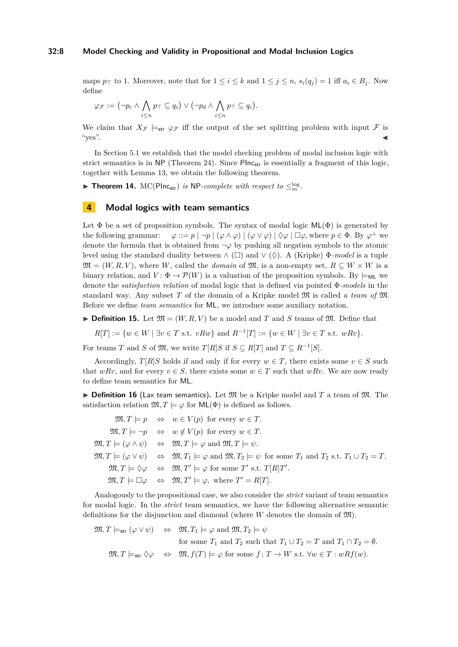#### **32:8 Model Checking and Validity in Propositional and Modal Inclusion Logics**

maps  $p_{\top}$  to 1. Moreover, note that for  $1 \leq i \leq k$  and  $1 \leq j \leq n$ ,  $s_i(q_j) = 1$  iff  $a_i \in B_j$ . Now define

$$
\varphi_{\mathcal{F}} := (\neg p_c \land \bigwedge_{i \leq n} p_{\top} \subseteq q_i) \lor (\neg p_d \land \bigwedge_{i \leq n} p_{\top} \subseteq q_i).
$$

We claim that  $X_{\mathcal{F}} \models_{str} \varphi_{\mathcal{F}}$  iff the output of the set splitting problem with input  $\mathcal{F}$  is "yes". J

In Section [5.1](#page-9-0) we establish that the model checking problem of modal inclusion logic with strict semantics is in  $NP$  (Theorem [24\)](#page-11-0). Since  $Plane_{str}$  is essentially a fragment of this logic, together with Lemma [13,](#page-6-1) we obtain the following theorem.

<span id="page-7-0"></span>▶ **Theorem 14.** MC(PInc<sub>str</sub>) *is* NP-*complete with respect to*  $\leq^{\log}_m$ *.* 

## **4 Modal logics with team semantics**

Let  $\Phi$  be a set of proposition symbols. The syntax of modal logic ML( $\Phi$ ) is generated by the following grammar:  $\varphi ::= p | \neg p | (\varphi \land \varphi) | (\varphi \lor \varphi) | \Diamond \varphi | \Box \varphi$ , where  $p \in \Phi$ . By  $\varphi^{\perp}$  we denote the formula that is obtained from  $\neg \varphi$  by pushing all negation symbols to the atomic level using the standard duality between  $\wedge$  ( $\square$ ) and  $\vee$  ( $\diamondsuit$ ). A (Kripke)  $\Phi$ *-model* is a tuple  $\mathfrak{M} = (W, R, V)$ , where *W*, called the *domain* of  $\mathfrak{M}$ , is a non-empty set,  $R \subseteq W \times W$  is a binary relation, and  $V: \Phi \to \mathcal{P}(W)$  is a valuation of the proposition symbols. By  $\models_{\mathsf{ML}}$  we denote the *satisfaction relation* of modal logic that is defined via pointed Φ*-models* in the standard way. Any subset *T* of the domain of a Kripke model M is called *a team of* M. Before we define *team semantics* for ML, we introduce some auxiliary notation.

**Definition 15.** Let  $\mathfrak{M} = (W, R, V)$  be a model and *T* and *S* teams of  $\mathfrak{M}$ . Define that

 $R[T] := \{w \in W \mid \exists v \in T \text{ s.t. } vRw\} \text{ and } R^{-1}[T] := \{w \in W \mid \exists v \in T \text{ s.t. } wRv\}.$ 

For teams *T* and *S* of  $\mathfrak{M}$ , we write  $T[R]S$  if  $S \subseteq R[T]$  and  $T \subseteq R^{-1}[S]$ .

Accordingly,  $T[R]S$  holds if and only if for every  $w \in T$ , there exists some  $v \in S$  such that  $wRv$ , and for every  $v \in S$ , there exists some  $w \in T$  such that  $wRv$ . We are now ready to define team semantics for ML.

**Definition 16** (Lax team semantics). Let  $\mathfrak{M}$  be a Kripke model and  $T$  a team of  $\mathfrak{M}$ . The satisfaction relation  $\mathfrak{M}, T \models \varphi$  for  $\mathsf{ML}(\Phi)$  is defined as follows.

|  | $\mathfrak{M}, T \models p \Leftrightarrow w \in V(p)$ for every $w \in T$ .                                                                                                                                       |
|--|--------------------------------------------------------------------------------------------------------------------------------------------------------------------------------------------------------------------|
|  | $\mathfrak{M}, T \models \neg p \Leftrightarrow w \notin V(p)$ for every $w \in T$ .                                                                                                                               |
|  | $\mathfrak{M}, T \models (\varphi \land \psi) \Leftrightarrow \mathfrak{M}, T \models \varphi \text{ and } \mathfrak{M}, T \models \psi.$                                                                          |
|  | $\mathfrak{M}, T \models (\varphi \lor \psi) \Leftrightarrow \mathfrak{M}, T_1 \models \varphi \text{ and } \mathfrak{M}, T_2 \models \psi \text{ for some } T_1 \text{ and } T_2 \text{ s.t. } T_1 \cup T_2 = T.$ |
|  | $\mathfrak{M}, T \models \Diamond \varphi \Leftrightarrow \mathfrak{M}, T' \models \varphi \text{ for some } T' \text{ s.t. } T[R]T'.$                                                                             |
|  | $\mathfrak{M}, T \models \Box \varphi \Leftrightarrow \mathfrak{M}, T' \models \varphi, \text{ where } T' = R[T].$                                                                                                 |

Analogously to the propositional case, we also consider the *strict* variant of team semantics for modal logic. In the *strict* team semantics, we have the following alternative semantic definitions for the disjunction and diamond (where *W* denotes the domain of M).

$$
\mathfrak{M}, T \models_{\mathsf{str}} (\varphi \lor \psi) \quad \Leftrightarrow \quad \mathfrak{M}, T_1 \models \varphi \text{ and } \mathfrak{M}, T_2 \models \psi
$$
\n
$$
\text{for some } T_1 \text{ and } T_2 \text{ such that } T_1 \cup T_2 = T \text{ and } T_1 \cap T_2 = \emptyset.
$$
\n
$$
\mathfrak{M}, T \models_{\mathsf{str}} \Diamond \varphi \quad \Leftrightarrow \quad \mathfrak{M}, f(T) \models \varphi \text{ for some } f \colon T \to W \text{ s.t. } \forall w \in T : wRf(w).
$$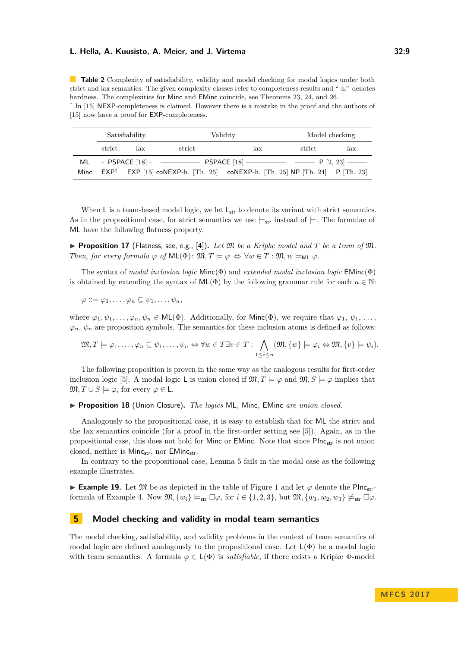<span id="page-8-1"></span>**Table 2** Complexity of satisfiability, validity and model checking for modal logics under both strict and lax semantics. The given complexity classes refer to completeness results and "-h." denotes hardness. The complexities for Minc and EMinc coincide, see Theorems [23,](#page-11-1) [24,](#page-11-0) and [26.](#page-11-2)

<sup>†</sup> In [\[15\]](#page-13-6) NEXP-completeness is claimed. However there is a mistake in the proof and the authors of [\[15\]](#page-13-6) now have a proof for **EXP-completeness.** 

| Satisfiability |     |                                                                                        | Validity                                                                                   |        | Model checking |  |
|----------------|-----|----------------------------------------------------------------------------------------|--------------------------------------------------------------------------------------------|--------|----------------|--|
| strict         | lax | strict                                                                                 | lax                                                                                        | strict | lax            |  |
|                |     | ML - PSPACE [18] - - - - - - - - PSPACE [18] - - - - - - P [2, 23] - - - - - P [2, 23] |                                                                                            |        |                |  |
|                |     |                                                                                        | Minc $EXP^{\dagger}$ EXP [15] coNEXP-h. [Th. 25] coNEXP-h. [Th. 25] NP [Th. 24] P [Th. 23] |        |                |  |

When  $\mathsf{L}$  is a team-based modal logic, we let  $\mathsf{L}_{str}$  to denote its variant with strict semantics. As in the propositional case, for strict semantics we use  $\models_{str}$  instead of  $\models$ . The formulae of ML have the following flatness property.

**• Proposition 17** (Flatness, see, e.g., [\[4\]](#page-12-5)). Let  $\mathfrak{M}$  be a Kripke model and  $T$  be a team of  $\mathfrak{M}$ . *Then, for every formula*  $\varphi$  *of*  $\mathsf{ML}(\Phi)$ *:*  $\mathfrak{M}, T \models \varphi \Leftrightarrow \forall w \in T : \mathfrak{M}, w \models_{\mathsf{ML}} \varphi$ .

The syntax of *modal inclusion logic* Minc(Φ) and *extended modal inclusion logic* EMinc(Φ) is obtained by extending the syntax of  $ML(\Phi)$  by the following grammar rule for each  $n \in \mathbb{N}$ :

$$
\varphi ::= \varphi_1, \ldots, \varphi_n \subseteq \psi_1, \ldots, \psi_n,
$$

where  $\varphi_1, \psi_1, \ldots, \varphi_n, \psi_n \in \mathsf{ML}(\Phi)$ . Additionally, for Minc( $\Phi$ ), we require that  $\varphi_1, \psi_1, \ldots$ ,  $\varphi_n$ ,  $\psi_n$  are proposition symbols. The semantics for these inclusion atoms is defined as follows:

$$
\mathfrak{M}, T \models \varphi_1, \dots, \varphi_n \subseteq \psi_1, \dots, \psi_n \Leftrightarrow \forall w \in T \exists v \in T : \bigwedge_{1 \leq i \leq n} (\mathfrak{M}, \{w\} \models \varphi_i \Leftrightarrow \mathfrak{M}, \{v\} \models \psi_i).
$$

The following proposition is proven in the same way as the analogous results for first-order inclusion logic [\[5\]](#page-12-1). A modal logic L is union closed if  $\mathfrak{M}, T \models \varphi$  and  $\mathfrak{M}, S \models \varphi$  implies that  $\mathfrak{M}, T \cup S \models \varphi$ , for every  $\varphi \in \mathsf{L}$ .

#### <span id="page-8-2"></span>I **Proposition 18** (Union Closure)**.** *The logics* ML*,* Minc*,* EMinc *are union closed.*

Analogously to the propositional case, it is easy to establish that for ML the strict and the lax semantics coincide (for a proof in the first-order setting see [\[5\]](#page-12-1)). Again, as in the propositional case, this does not hold for Minc or EMinc. Note that since PInc<sub>str</sub> is not union closed, neither is Minc<sub>str</sub>, nor EMinc<sub>str</sub>.

In contrary to the propositional case, Lemma [5](#page-3-4) fails in the modal case as the following example illustrates.

<span id="page-8-0"></span>**Example [1](#page-3-2)9.** Let  $\mathfrak{M}$  be as depicted in the table of Figure 1 and let  $\varphi$  denote the PInc<sub>str</sub>-formula of Example [4.](#page-3-0) Now  $\mathfrak{M}, \{w_i\} \models_{\mathsf{str}} \Box \varphi$ , for  $i \in \{1, 2, 3\}$ , but  $\mathfrak{M}, \{w_1, w_2, w_3\} \not\models_{\mathsf{str}} \Box \varphi$ .

## **5 Model checking and validity in modal team semantics**

The model checking, satisfiability, and validity problems in the context of team semantics of modal logic are defined analogously to the propositional case. Let  $L(\Phi)$  be a modal logic with team semantics. A formula  $\varphi \in L(\Phi)$  is *satisfiable*, if there exists a Kripke  $\Phi$ -model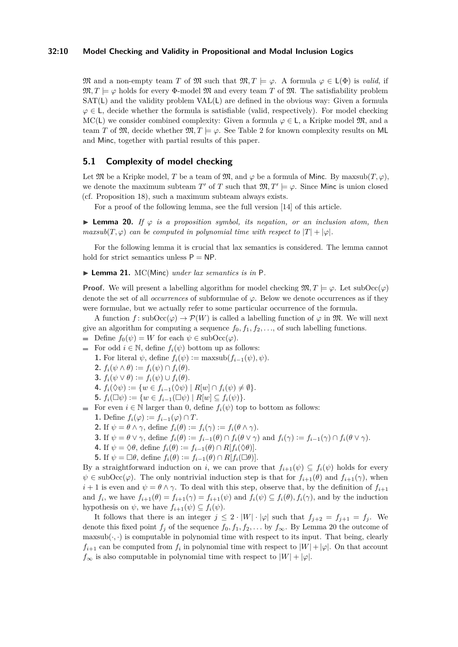#### **32:10 Model Checking and Validity in Propositional and Modal Inclusion Logics**

M and a non-empty team T of M such that  $\mathfrak{M}, T \models \varphi$ . A formula  $\varphi \in L(\Phi)$  is *valid*, if  $\mathfrak{M}, T \models \varphi$  holds for every  $\Phi$ -model  $\mathfrak{M}$  and every team T of  $\mathfrak{M}$ . The satisfiability problem SAT(L) and the validity problem VAL(L) are defined in the obvious way: Given a formula  $\varphi \in L$ , decide whether the formula is satisfiable (valid, respectively). For model checking MC(L) we consider combined complexity: Given a formula  $\varphi \in L$ , a Kripke model  $\mathfrak{M}$ , and a team *T* of  $\mathfrak{M}$ , decide whether  $\mathfrak{M}$ ,  $T \models \varphi$ . See Table [2](#page-8-1) for known complexity results on ML and Minc, together with partial results of this paper.

## <span id="page-9-0"></span>**5.1 Complexity of model checking**

Let  $\mathfrak{M}$  be a Kripke model, *T* be a team of  $\mathfrak{M}$ , and  $\varphi$  be a formula of Minc. By maxsub $(T, \varphi)$ , we denote the maximum subteam *T*' of *T* such that  $\mathfrak{M}, T' \models \varphi$ . Since Minc is union closed (cf. Proposition [18\)](#page-8-2), such a maximum subteam always exists.

For a proof of the following lemma, see the full version [\[14\]](#page-12-12) of this article.

<span id="page-9-2"></span>**► Lemma 20.** *If*  $\varphi$  *is a proposition symbol, its negation, or an inclusion atom, then maxsub*( $T, \varphi$ ) *can be computed in polynomial time with respect to*  $|T| + |\varphi|$ *.* 

For the following lemma it is crucial that lax semantics is considered. The lemma cannot hold for strict semantics unless  $P = NP$ .

<span id="page-9-1"></span>▶ Lemma 21. MC(Minc) *under lax semantics is in* P.

**Proof.** We will present a labelling algorithm for model checking  $\mathfrak{M}, T \models \varphi$ . Let subOcc $(\varphi)$ denote the set of all *occurrences* of subformulae of *ϕ*. Below we denote occurrences as if they were formulae, but we actually refer to some particular occurrence of the formula.

A function  $f: \text{subOcc}(\varphi) \to \mathcal{P}(W)$  is called a labelling function of  $\varphi$  in  $\mathfrak{M}$ . We will next give an algorithm for computing a sequence  $f_0, f_1, f_2, \ldots$ , of such labelling functions.

- $\blacksquare$  Define  $f_0(\psi) = W$  for each  $\psi \in \text{subOcc}(\varphi)$ .
- For odd  $i \in \mathbb{N}$ , define  $f_i(\psi)$  bottom up as follows:
	- **1.** For literal  $\psi$ , define  $f_i(\psi) := \max_{\psi} f_i(\psi)$ ,  $\psi$ ).
	- **2.**  $f_i(\psi \wedge \theta) := f_i(\psi) \cap f_i(\theta).$
	- **3.**  $f_i(\psi \vee \theta) := f_i(\psi) \cup f_i(\theta)$ .
	- **4.**  $f_i(\Diamond \psi) := \{ w \in f_{i-1}(\Diamond \psi) \mid R[w] \cap f_i(\psi) \neq \emptyset \}.$
	- **5.**  $f_i(\Box \psi) := \{ w \in f_{i-1}(\Box \psi) \mid R[w] \subseteq f_i(\psi) \}.$
- For even  $i \in \mathbb{N}$  larger than 0, define  $f_i(\psi)$  top to bottom as follows:
	- **1.** Define  $f_i(\varphi) := f_{i-1}(\varphi) \cap T$ .
	- **2.** If  $\psi = \theta \wedge \gamma$ , define  $f_i(\theta) := f_i(\gamma) := f_i(\theta \wedge \gamma)$ .
	- **3.** If  $\psi = \theta \vee \gamma$ , define  $f_i(\theta) := f_{i-1}(\theta) \cap f_i(\theta \vee \gamma)$  and  $f_i(\gamma) := f_{i-1}(\gamma) \cap f_i(\theta \vee \gamma)$ .
	- **4.** If  $\psi = \Diamond \theta$ , define  $f_i(\theta) := f_{i-1}(\theta) \cap R[f_i(\Diamond \theta)].$
	- **5.** If  $\psi = \Box \theta$ , define  $f_i(\theta) := f_{i-1}(\theta) \cap R[f_i(\Box \theta)].$

By a straightforward induction on *i*, we can prove that  $f_{i+1}(\psi) \subseteq f_i(\psi)$  holds for every  $\psi \in \text{subOcc}(\varphi)$ . The only nontrivial induction step is that for  $f_{i+1}(\theta)$  and  $f_{i+1}(\gamma)$ , when  $i+1$  is even and  $\psi = \theta \wedge \gamma$ . To deal with this step, observe that, by the definition of  $f_{i+1}$ and  $f_i$ , we have  $f_{i+1}(\theta) = f_{i+1}(\gamma) = f_{i+1}(\psi)$  and  $f_i(\psi) \subseteq f_i(\theta), f_i(\gamma)$ , and by the induction hypothesis on  $\psi$ , we have  $f_{i+1}(\psi) \subseteq f_i(\psi)$ .

It follows that there is an integer  $j \leq 2 \cdot |W| \cdot |\varphi|$  such that  $f_{j+2} = f_{j+1} = f_j$ . We denote this fixed point  $f_j$  of the sequence  $f_0, f_1, f_2, \ldots$  by  $f_\infty$ . By Lemma [20](#page-9-2) the outcome of maxsub( $\cdot$ ,  $\cdot$ ) is computable in polynomial time with respect to its input. That being, clearly  $f_{i+1}$  can be computed from  $f_i$  in polynomial time with respect to  $|W| + |\varphi|$ . On that account  $f_{\infty}$  is also computable in polynomial time with respect to  $|W| + |\varphi|$ .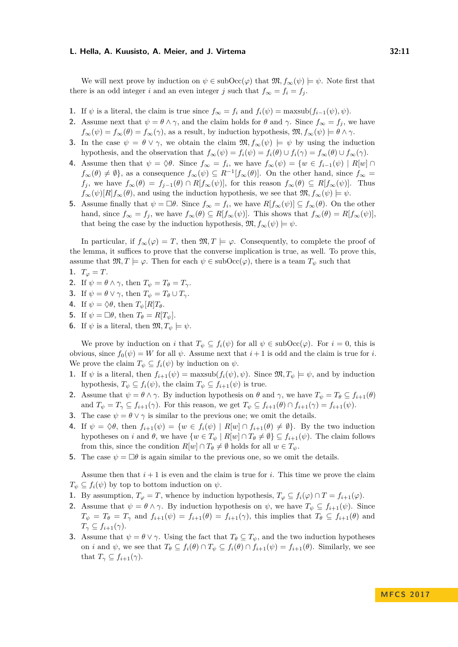We will next prove by induction on  $\psi \in \text{subOcc}(\varphi)$  that  $\mathfrak{M}, f_{\infty}(\psi) \models \psi$ . Note first that there is an odd integer *i* and an even integer *j* such that  $f_{\infty} = f_i = f_j$ .

- **1.** If  $\psi$  is a literal, the claim is true since  $f_{\infty} = f_i$  and  $f_i(\psi) = \max_{\psi} f_i(\psi)$ .
- **2.** Assume next that  $\psi = \theta \wedge \gamma$ , and the claim holds for  $\theta$  and  $\gamma$ . Since  $f_{\infty} = f_i$ , we have  $f_{\infty}(\psi) = f_{\infty}(\theta) = f_{\infty}(\gamma)$ , as a result, by induction hypothesis,  $\mathfrak{M}, f_{\infty}(\psi) \models \theta \land \gamma$ .
- **3.** In the case  $\psi = \theta \vee \gamma$ , we obtain the claim  $\mathfrak{M}, f_{\infty}(\psi) \models \psi$  by using the induction hypothesis, and the observation that  $f_{\infty}(\psi) = f_i(\psi) = f_i(\theta) \cup f_i(\gamma) = f_{\infty}(\theta) \cup f_{\infty}(\gamma)$ .
- **4.** Assume then that  $\psi = \Diamond \theta$ . Since  $f_{\infty} = f_i$ , we have  $f_{\infty}(\psi) = \{w \in f_{i-1}(\psi) \mid R[w] \cap \theta\}$  $f_{\infty}(\theta) \neq \emptyset$ , as a consequence  $f_{\infty}(\psi) \subseteq R^{-1}[f_{\infty}(\theta)]$ . On the other hand, since  $f_{\infty} =$ *f*<sub>*j*</sub>, we have  $f_{\infty}(\theta) = f_{j-1}(\theta) \cap R[f_{\infty}(\psi)]$ , for this reason  $f_{\infty}(\theta) \subseteq R[f_{\infty}(\psi)]$ . Thus  $f_{\infty}(\psi)[R]f_{\infty}(\theta)$ , and using the induction hypothesis, we see that  $\mathfrak{M}, f_{\infty}(\psi) \models \psi$ .
- **5.** Assume finally that  $\psi = \Box \theta$ . Since  $f_{\infty} = f_i$ , we have  $R[f_{\infty}(\psi)] \subseteq f_{\infty}(\theta)$ . On the other hand, since  $f_{\infty} = f_j$ , we have  $f_{\infty}(\theta) \subseteq R[f_{\infty}(\psi)]$ . This shows that  $f_{\infty}(\theta) = R[f_{\infty}(\psi)]$ . that being the case by the induction hypothesis,  $\mathfrak{M}, f_{\infty}(\psi) \models \psi$ .

In particular, if  $f_{\infty}(\varphi) = T$ , then  $\mathfrak{M}, T \models \varphi$ . Consequently, to complete the proof of the lemma, it suffices to prove that the converse implication is true, as well. To prove this, assume that  $\mathfrak{M}, T \models \varphi$ . Then for each  $\psi \in \mathrm{subOcc}(\varphi)$ , there is a team  $T_{\psi}$  such that

$$
1. \ \ T_{\varphi}=T.
$$

- **2.** If  $\psi = \theta \wedge \gamma$ , then  $T_{\psi} = T_{\theta} = T_{\gamma}$ .
- **3.** If  $\psi = \theta \vee \gamma$ , then  $T_{\psi} = T_{\theta} \cup T_{\gamma}$ .
- **4.** If  $\psi = \Diamond \theta$ , then  $T_{\psi}[R]T_{\theta}$ .
- **5.** If  $\psi = \Box \theta$ , then  $T_{\theta} = R[T_{\psi}]$ .
- **6.** If  $\psi$  is a literal, then  $\mathfrak{M}, T_{\psi} \models \psi$ .

We prove by induction on *i* that  $T_{\psi} \subseteq f_i(\psi)$  for all  $\psi \in \text{subOcc}(\varphi)$ . For  $i = 0$ , this is obvious, since  $f_0(\psi) = W$  for all  $\psi$ . Assume next that  $i+1$  is odd and the claim is true for *i*. We prove the claim  $T_{\psi} \subseteq f_i(\psi)$  by induction on  $\psi$ .

- **1.** If  $\psi$  is a literal, then  $f_{i+1}(\psi) = \text{maxsub}(f_i(\psi), \psi)$ . Since  $\mathfrak{M}, T_{\psi} \models \psi$ , and by induction hypothesis,  $T_{\psi} \subseteq f_i(\psi)$ , the claim  $T_{\psi} \subseteq f_{i+1}(\psi)$  is true.
- **2.** Assume that  $\psi = \theta \wedge \gamma$ . By induction hypothesis on  $\theta$  and  $\gamma$ , we have  $T_{\psi} = T_{\theta} \subseteq f_{i+1}(\theta)$ and  $T_{\psi} = T_{\gamma} \subseteq f_{i+1}(\gamma)$ . For this reason, we get  $T_{\psi} \subseteq f_{i+1}(\theta) \cap f_{i+1}(\gamma) = f_{i+1}(\psi)$ .
- **3.** The case  $\psi = \theta \vee \gamma$  is similar to the previous one; we omit the details.
- **4.** If  $\psi = \Diamond \theta$ , then  $f_{i+1}(\psi) = \{w \in f_i(\psi) \mid R[w] \cap f_{i+1}(\theta) \neq \emptyset\}$ . By the two induction hypotheses on *i* and  $\theta$ , we have  $\{w \in T_{\psi} \mid R[w] \cap T_{\theta} \neq \emptyset\} \subseteq f_{i+1}(\psi)$ . The claim follows from this, since the condition  $R[w] \cap T_{\theta} \neq \emptyset$  holds for all  $w \in T_{\psi}$ .
- **5.** The case  $\psi = \Box \theta$  is again similar to the previous one, so we omit the details.

Assume then that  $i + 1$  is even and the claim is true for  $i$ . This time we prove the claim  $T_{\psi} \subseteq f_i(\psi)$  by top to bottom induction on  $\psi$ .

- **1.** By assumption,  $T_{\varphi} = T$ , whence by induction hypothesis,  $T_{\varphi} \subseteq f_i(\varphi) \cap T = f_{i+1}(\varphi)$ .
- **2.** Assume that  $\psi = \theta \wedge \gamma$ . By induction hypothesis on  $\psi$ , we have  $T_{\psi} \subseteq f_{i+1}(\psi)$ . Since  $T_{\psi} = T_{\theta} = T_{\gamma}$  and  $f_{i+1}(\psi) = f_{i+1}(\theta) = f_{i+1}(\gamma)$ , this implies that  $T_{\theta} \subseteq f_{i+1}(\theta)$  and  $T_{\gamma} \subseteq f_{i+1}(\gamma)$ .
- **3.** Assume that  $\psi = \theta \vee \gamma$ . Using the fact that  $T_{\theta} \subseteq T_{\psi}$ , and the two induction hypotheses on *i* and  $\psi$ , we see that  $T_{\theta} \subseteq f_i(\theta) \cap T_{\psi} \subseteq f_i(\theta) \cap f_{i+1}(\psi) = f_{i+1}(\theta)$ . Similarly, we see that  $T_{\gamma} \subseteq f_{i+1}(\gamma)$ .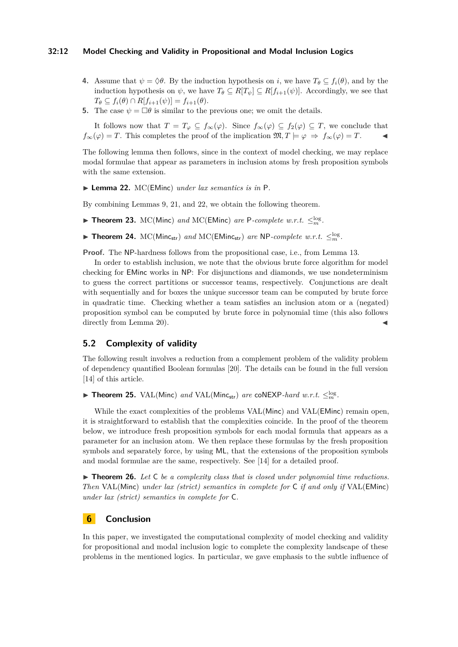## **32:12 Model Checking and Validity in Propositional and Modal Inclusion Logics**

- **4.** Assume that  $\psi = \Diamond \theta$ . By the induction hypothesis on *i*, we have  $T_{\theta} \subseteq f_i(\theta)$ , and by the induction hypothesis on  $\psi$ , we have  $T_{\theta} \subseteq R[T_{\psi}] \subseteq R[f_{i+1}(\psi)]$ . Accordingly, we see that  $T_{\theta} \subseteq f_i(\theta) \cap R[f_{i+1}(\psi)] = f_{i+1}(\theta).$
- **5.** The case  $\psi = \Box \theta$  is similar to the previous one; we omit the details.

It follows now that  $T = T_{\varphi} \subseteq f_{\infty}(\varphi)$ . Since  $f_{\infty}(\varphi) \subseteq f_2(\varphi) \subseteq T$ , we conclude that  $f_{\infty}(\varphi) = T$ . This completes the proof of the implication  $\mathfrak{M}, T \models \varphi \Rightarrow f_{\infty}(\varphi) = T$ .

The following lemma then follows, since in the context of model checking, we may replace modal formulae that appear as parameters in inclusion atoms by fresh proposition symbols with the same extension.

<span id="page-11-4"></span>▶ Lemma 22. MC(EMinc) *under lax semantics is in* P.

By combining Lemmas [9,](#page-4-1) [21,](#page-9-1) and [22,](#page-11-4) we obtain the following theorem.

<span id="page-11-1"></span>▶ Theorem 23. MC(Minc) and MC(EMinc) are P-complete w.r.t.  $\leq_m^{\log}$ .

<span id="page-11-0"></span>▶ Theorem 24.  $MC(Minc_{str})$  *and*  $MC(EMinc_{str})$  *are* NP*-complete w.r.t.*  $\leq_m^{log}$ .

**Proof.** The NP-hardness follows from the propositional case, i.e., from Lemma [13.](#page-6-1)

In order to establish inclusion, we note that the obvious brute force algorithm for model checking for EMinc works in NP: For disjunctions and diamonds, we use nondeterminism to guess the correct partitions or successor teams, respectively. Conjunctions are dealt with sequentially and for boxes the unique successor team can be computed by brute force in quadratic time. Checking whether a team satisfies an inclusion atom or a (negated) proposition symbol can be computed by brute force in polynomial time (this also follows directly from Lemma [20\)](#page-9-2).

## **5.2 Complexity of validity**

The following result involves a reduction from a complement problem of the validity problem of dependency quantified Boolean formulas [\[20\]](#page-13-11). The details can be found in the full version [\[14\]](#page-12-12) of this article.

<span id="page-11-3"></span>▶ Theorem 25. VAL(Minc) and VAL(Minc<sub>str</sub>) are coNEXP-hard w.r.t.  $\leq_m^{\log}$ .

While the exact complexities of the problems  $VAL(Minc)$  and  $VAL(EMinc)$  remain open, it is straightforward to establish that the complexities coincide. In the proof of the theorem below, we introduce fresh proposition symbols for each modal formula that appears as a parameter for an inclusion atom. We then replace these formulas by the fresh proposition symbols and separately force, by using ML, that the extensions of the proposition symbols and modal formulae are the same, respectively. See [\[14\]](#page-12-12) for a detailed proof.

<span id="page-11-2"></span>▶ **Theorem 26.** Let C be a complexity class that is closed under polynomial time reductions. *Then* VAL(Minc) *under lax (strict) semantics in complete for* C *if and only if* VAL(EMinc) *under lax (strict) semantics in complete for* C*.*

## **6 Conclusion**

In this paper, we investigated the computational complexity of model checking and validity for propositional and modal inclusion logic to complete the complexity landscape of these problems in the mentioned logics. In particular, we gave emphasis to the subtle influence of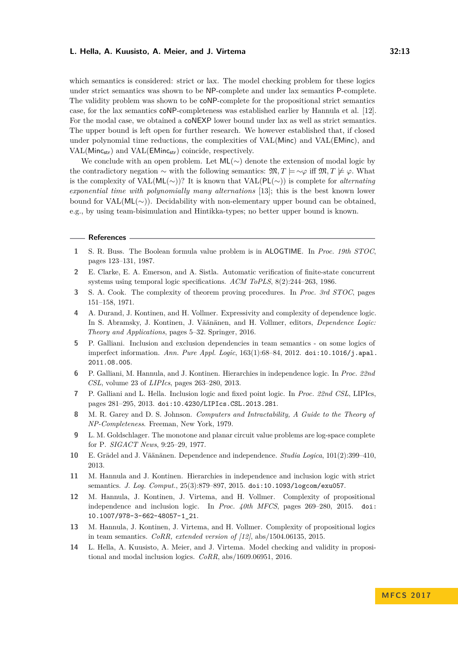which semantics is considered: strict or lax. The model checking problem for these logics under strict semantics was shown to be NP-complete and under lax semantics P-complete. The validity problem was shown to be coNP-complete for the propositional strict semantics case, for the lax semantics coNP-completeness was established earlier by Hannula et al. [\[12\]](#page-12-6). For the modal case, we obtained a coNEXP lower bound under lax as well as strict semantics. The upper bound is left open for further research. We however established that, if closed under polynomial time reductions, the complexities of VAL(Minc) and VAL(EMinc), and VAL(Minc<sub>str</sub>) and VAL(EMinc<sub>str</sub>) coincide, respectively.

We conclude with an open problem. Let  $ML(\sim)$  denote the extension of modal logic by the contradictory negation  $\sim$  with the following semantics:  $\mathfrak{M}, T \models \sim \varphi$  iff  $\mathfrak{M}, T \not\models \varphi$ . What is the complexity of VAL(ML(∼))? It is known that VAL(PL(∼)) is complete for *alternating exponential time with polynomially many alternations* [\[13\]](#page-12-13); this is the best known lower bound for VAL(ML(∼)). Decidability with non-elementary upper bound can be obtained, e.g., by using team-bisimulation and Hintikka-types; no better upper bound is known.

#### **References**

- <span id="page-12-8"></span>**1** S. R. Buss. The Boolean formula value problem is in ALOGTIME. In *Proc. 19th STOC*, pages 123–131, 1987.
- <span id="page-12-11"></span>**2** E. Clarke, E. A. Emerson, and A. Sistla. Automatic verification of finite-state concurrent systems using temporal logic specifications. *ACM ToPLS*, 8(2):244–263, 1986.
- <span id="page-12-7"></span>**3** S. A. Cook. The complexity of theorem proving procedures. In *Proc. 3rd STOC*, pages 151–158, 1971.
- <span id="page-12-5"></span>**4** A. Durand, J. Kontinen, and H. Vollmer. Expressivity and complexity of dependence logic. In S. Abramsky, J. Kontinen, J. Väänänen, and H. Vollmer, editors, *Dependence Logic: Theory and Applications*, pages 5–32. Springer, 2016.
- <span id="page-12-1"></span>**5** P. Galliani. Inclusion and exclusion dependencies in team semantics - on some logics of imperfect information. *Ann. Pure Appl. Logic*, 163(1):68–84, 2012. [doi:10.1016/j.apal.](http://dx.doi.org/10.1016/j.apal.2011.08.005) [2011.08.005](http://dx.doi.org/10.1016/j.apal.2011.08.005).
- <span id="page-12-3"></span>**6** P. Galliani, M. Hannula, and J. Kontinen. Hierarchies in independence logic. In *Proc. 22nd CSL*, volume 23 of *LIPIcs*, pages 263–280, 2013.
- <span id="page-12-2"></span>**7** P. Galliani and L. Hella. Inclusion logic and fixed point logic. In *Proc. 22nd CSL*, LIPIcs, pages 281–295, 2013. [doi:10.4230/LIPIcs.CSL.2013.281](http://dx.doi.org/10.4230/LIPIcs.CSL.2013.281).
- <span id="page-12-10"></span>**8** M. R. Garey and D. S. Johnson. *Computers and Intractability, A Guide to the Theory of NP-Completeness*. Freeman, New York, 1979.
- <span id="page-12-9"></span>**9** L. M. Goldschlager. The monotone and planar circuit value problems are log-space complete for P. *SIGACT News*, 9:25–29, 1977.
- <span id="page-12-0"></span>**10** E. Grädel and J. Väänänen. Dependence and independence. *Studia Logica*, 101(2):399–410, 2013.
- <span id="page-12-4"></span>**11** M. Hannula and J. Kontinen. Hierarchies in independence and inclusion logic with strict semantics. *J. Log. Comput.*, 25(3):879–897, 2015. [doi:10.1093/logcom/exu057](http://dx.doi.org/10.1093/logcom/exu057).
- <span id="page-12-6"></span>**12** M. Hannula, J. Kontinen, J. Virtema, and H. Vollmer. Complexity of propositional independence and inclusion logic. In *Proc. 40th MFCS*, pages 269–280, 2015. [doi:](http://dx.doi.org/10.1007/978-3-662-48057-1_21) [10.1007/978-3-662-48057-1\\_21](http://dx.doi.org/10.1007/978-3-662-48057-1_21).
- <span id="page-12-13"></span>**13** M. Hannula, J. Kontinen, J. Virtema, and H. Vollmer. Complexity of propositional logics in team semantics. *CoRR, extended version of [\[12\]](#page-12-6)*, abs/1504.06135, 2015.
- <span id="page-12-12"></span>**14** L. Hella, A. Kuusisto, A. Meier, and J. Virtema. Model checking and validity in propositional and modal inclusion logics. *CoRR*, abs/1609.06951, 2016.